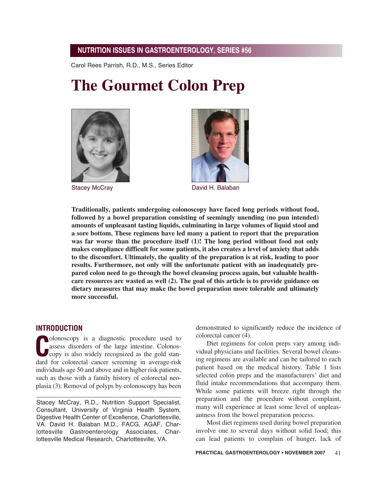Carol Rees Parrish, R.D., M.S., Series Editor

# **The Gourmet Colon Prep**





Stacey McCray **David H. Balaban** 

**Traditionally, patients undergoing colonoscopy have faced long periods without food, followed by a bowel preparation consisting of seemingly unending (no pun intended) amounts of unpleasant tasting liquids, culminating in large volumes of liquid stool and a sore bottom. These regimens have led many a patient to report that the preparation was far worse than the procedure itself (1)! The long period without food not only makes compliance difficult for some patients, it also creates a level of anxiety that adds to the discomfort. Ultimately, the quality of the preparation is at risk, leading to poor results. Furthermore, not only will the unfortunate patient with an inadequately prepared colon need to go through the bowel cleansing process again, but valuable healthcare resources are wasted as well (2). The goal of this article is to provide guidance on dietary measures that may make the bowel preparation more tolerable and ultimately more successful.**

#### **INTRODUCTION**

**C**colonoscopy is a diagnostic procedure used to<br>
assess disorders of the large intestine. Colonos-<br>
copy is also widely recognized as the gold stan-<br>
dard for selemetel sensor conserving in systems widely olonoscopy is a diagnostic procedure used to assess disorders of the large intestine. Colonosdard for colorectal cancer screening in average-risk individuals age 50 and above and in higher risk patients, such as those with a family history of colorectal neoplasia (3). Removal of polyps by colonoscopy has been

Stacey McCray, R.D., Nutrition Support Specialist, Consultant, University of Virginia Health System, Digestive Health Center of Excellence, Charlottesville, VA. David H. Balaban M.D., FACG, AGAF, Charlottesville Gastroenterology Associates, Charlottesville Medical Research, Charlottesville, VA.

demonstrated to significantly reduce the incidence of colorectal cancer (4).

Diet regimens for colon preps vary among individual physicians and facilities. Several bowel cleansing regimens are available and can be tailored to each patient based on the medical history. Table 1 lists selected colon preps and the manufacturers' diet and fluid intake recommendations that accompany them. While some patients will breeze right through the preparation and the procedure without complaint, many will experience at least some level of unpleasantness from the bowel preparation process.

Most diet regimens used during bowel preparation involve one to several days without solid food; this can lead patients to complain of hunger, lack of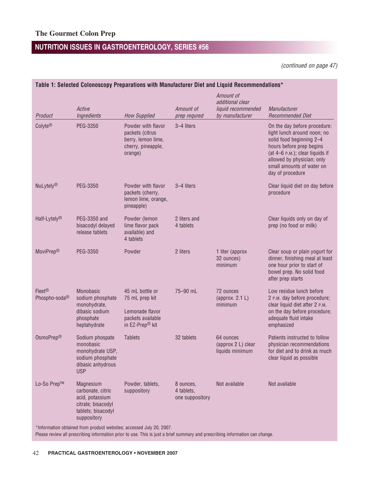(continued on page 47)

| Product                                    | Active<br>Ingredients                                                                                        | <b>How Supplied</b>                                                                                      | Amount of<br>prep requred                  | Amount of<br>additional clear<br>liquid recommended<br>by manufacturer | Manufacturer<br><b>Recommended Diet</b>                                                                                                                                                                                               |
|--------------------------------------------|--------------------------------------------------------------------------------------------------------------|----------------------------------------------------------------------------------------------------------|--------------------------------------------|------------------------------------------------------------------------|---------------------------------------------------------------------------------------------------------------------------------------------------------------------------------------------------------------------------------------|
| Colyte®                                    | PEG-3350                                                                                                     | Powder with flavor<br>packets (citrus<br>berry, lemon lime,<br>cherry, pineapple,<br>orange)             | 3-4 liters                                 |                                                                        | On the day before procedure:<br>light lunch around noon; no<br>solid food beginning 2-4<br>hours before prep begins<br>(at 4-6 P.M.); clear liquids if<br>allowed by physician; only<br>small amounts of water on<br>day of procedure |
| NuLytely®                                  | PEG-3350                                                                                                     | Powder with flavor<br>packets (cherry,<br>lemon lime, orange,<br>pineapple)                              | 3-4 liters                                 |                                                                        | Clear liquid diet on day before<br>procedure                                                                                                                                                                                          |
| Half-Lytely <sup>®</sup>                   | PEG-3350 and<br>bisacodyl delayed<br>release tablets                                                         | Powder (lemon<br>lime flavor pack<br>available) and<br>4 tablets                                         | 2 liters and<br>4 tablets                  |                                                                        | Clear liquids only on day of<br>prep (no food or milk)                                                                                                                                                                                |
| <b>MoviPrep®</b>                           | PEG-3350                                                                                                     | Powder                                                                                                   | 2 liters                                   | 1 liter (approx<br>32 ounces)<br>minimum                               | Clear soup or plain yogurt for<br>dinner, finishing meal at least<br>one hour prior to start of<br>bowel prep. No solid food<br>after prep starts                                                                                     |
| $Fleet^{\textcircled{D}}$<br>Phospho-soda® | Monobasic<br>sodium phosphate<br>monohydrate,<br>dibasic sodium<br>phosphate<br>heptahydrate                 | 45 mL bottle or<br>75 mL prep kit<br>Lemonade flavor<br>packets available<br>in EZ-Prep <sup>®</sup> kit | 75-90 mL                                   | 72 ounces<br>(approx. 2.1 L)<br>minimum                                | Low residue lunch before<br>2 P.M. day before procedure;<br>clear liquid diet after 2 P.M.<br>on the day before procedure;<br>adequate fluid intake<br>emphasized                                                                     |
| OsmoPrep®                                  | Sodium phospate<br>monobasic<br>monohydrate USP,<br>sodium phosphate<br>dibasic anhydrous<br><b>USP</b>      | <b>Tablets</b>                                                                                           | 32 tablets                                 | 64 ounces<br>(approx 2 L) clear<br>liquids minimum                     | Patients instructed to follow<br>physician recommendations<br>for diet and to drink as much<br>clear liquid as possible                                                                                                               |
| Lo-So Prep™                                | Magnesium<br>carbonate, citric<br>acid, potassium<br>citrate; bisacodyl<br>tablets; bisacodyl<br>suppository | Powder, tablets,<br>suppository                                                                          | 8 ounces,<br>4 tablets,<br>one suppository | Not available                                                          | Not available                                                                                                                                                                                                                         |

Please review all prescribing information prior to use. This is just a brief summary and prescribing information can change.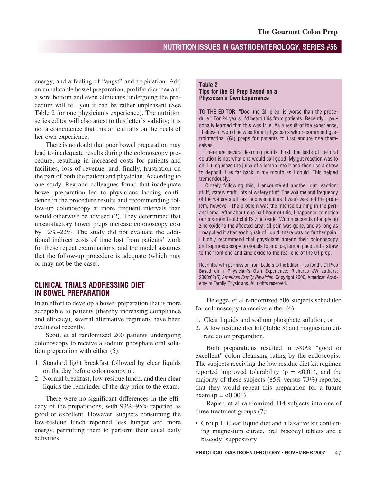energy, and a feeling of "angst" and trepidation. Add an unpalatable bowel preparation, prolific diarrhea and a sore bottom and even clinicians undergoing the procedure will tell you it can be rather unpleasant (See Table 2 for one physician's experience). The nutrition series editor will also attest to this letter's validity; it is not a coincidence that this article falls on the heels of her own experience.

There is no doubt that poor bowel preparation may lead to inadequate results during the colonoscopy procedure, resulting in increased costs for patients and facilities, loss of revenue, and, finally, frustration on the part of both the patient and physician. According to one study, Rex and colleagues found that inadequate bowel preparation led to physicians lacking confidence in the procedure results and recommending follow-up colonoscopy at more frequent intervals than would otherwise be advised (2). They determined that unsatisfactory bowel preps increase colonoscopy cost by 12%–22%. The study did not evaluate the additional indirect costs of time lost from patients' work for these repeat examinations, and the model assumes that the follow-up procedure is adequate (which may or may not be the case).

### **CLINICAL TRIALS ADDRESSING DIET IN BOWEL PREPARATION**

In an effort to develop a bowel preparation that is more acceptable to patients (thereby increasing compliance and efficacy), several alternative regimens have been evaluated recently.

Scott, et al randomized 200 patients undergoing colonoscopy to receive a sodium phosphate oral solution preparation with either (5):

- 1. Standard light breakfast followed by clear liquids on the day before colonoscopy or,
- 2. Normal breakfast, low-residue lunch, and then clear liquids the remainder of the day prior to the exam.

There were no significant differences in the efficacy of the preparations, with 93%–95% reported as good or excellent. However, subjects consuming the low-residue lunch reported less hunger and more energy, permitting them to perform their usual daily activities.

#### **Table 2 Tips for the GI Prep Based on a Physician's Own Experience**

TO THE EDITOR: "Doc, the GI 'prep' is worse than the procedure." For 24 years, I'd heard this from patients. Recently, I personally learned that this was true. As a result of the experience, I believe it would be wise for all physicians who recommend gastrointestinal (GI) preps for patients to first endure one themselves.

There are several learning points. First, the taste of the oral solution is not what one would call good. My gut reaction was to chill it, squeeze the juice of a lemon into it and then use a straw to deposit it as far back in my mouth as I could. This helped tremendously.

Closely following this, I encountered another gut reaction: stuff, watery stuff, lots of watery stuff. The volume and frequency of the watery stuff (as inconvenient as it was) was not the problem, however. The problem was the intense burning in the perianal area. After about one half hour of this, I happened to notice our six-month-old child's zinc oxide. Within seconds of applying zinc oxide to the affected area, all pain was gone, and as long as I reapplied it after each gush of liquid, there was no further pain! I highly recommend that physicians amend their colonoscopy and sigmoidoscopy protocols to add ice, lemon juice and a straw to the front end and zinc oxide to the rear end of the GI prep.

Reprinted with permission from Letters to the Editor: Tips for the GI Prep Based on a Physician's Own Experience; Richards JW authors; 2000;62(5) American Family Physician. Copyright 2000. American Academy of Family Physicians. All rights reserved.

Delegge, et al randomized 506 subjects scheduled for colonoscopy to receive either (6):

- 1. Clear liquids and sodium phosphate solution, or
- 2. A low residue diet kit (Table 3) and magnesium citrate colon preparation.

Both preparations resulted in >80% "good or excellent" colon cleansing rating by the endoscopist. The subjects receiving the low residue diet kit regimen reported improved tolerability ( $p = < 0.01$ ), and the majority of these subjects (85% versus 73%) reported that they would repeat this preparation for a future exam ( $p = < 0.001$ ).

Rapier, et al randomized 114 subjects into one of three treatment groups (7):

• Group 1: Clear liquid diet and a laxative kit containing magnesium citrate, oral biscodyl tablets and a biscodyl suppository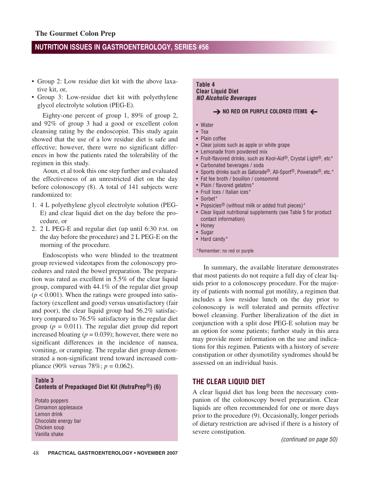- Group 2: Low residue diet kit with the above laxative kit, or,
- Group 3: Low-residue diet kit with polyethylene glycol electrolyte solution (PEG-E).

Eighty-one percent of group 1, 89% of group 2, and 92% of group 3 had a good or excellent colon cleansing rating by the endoscopist. This study again showed that the use of a low residue diet is safe and effective; however, there were no significant differences in how the patients rated the tolerability of the regimen in this study.

Aoun, et al took this one step further and evaluated the effectiveness of an unrestricted diet on the day before colonoscopy (8). A total of 141 subjects were randomized to:

- 1. 4 L polyethylene glycol electrolyte solution (PEG-E) and clear liquid diet on the day before the procedure, or
- 2. 2 L PEG-E and regular diet (up until 6:30 P.M. on the day before the procedure) and 2 L PEG-E on the morning of the procedure.

Endoscopists who were blinded to the treatment group reviewed videotapes from the colonoscopy procedures and rated the bowel preparation. The preparation was rated as excellent in 5.5% of the clear liquid group, compared with 44.1% of the regular diet group  $(p < 0.001)$ . When the ratings were grouped into satisfactory (excellent and good) versus unsatisfactory (fair and poor), the clear liquid group had 56.2% satisfactory compared to 76.5% satisfactory in the regular diet group ( $p = 0.011$ ). The regular diet group did report increased bloating  $(p = 0.039)$ ; however, there were no significant differences in the incidence of nausea, vomiting, or cramping. The regular diet group demonstrated a non-significant trend toward increased compliance (90% versus 78%;  $p = 0.062$ ).

#### **Table 3**

#### **Contents of Prepackaged Diet Kit (NutraPrep®) (6)**

Potato poppers Cinnamon applesauce Lemon drink Chocolate energy bar Chicken soup Vanilla shake

#### **Table 4 Clear Liquid Diet NO Alcoholic Beverages**

## → NO RED OR PURPLE COLORED ITEMS ←

- Water
- Tea
- Plain coffee
- Clear juices such as apple or white grape
- Lemonade from powdered mix
- Fruit-flavored drinks, such as Kool-Aid®, Crystal Light®, etc\*
- Carbonated beverages / soda
- Sports drinks such as Gatorade®, All-Sport®, Powerade®, etc.\*
- Fat fee broth / bouillon / consommé
- Plain / flavored gelatins\*
- Fruit Ices / Italian ices\*
- Sorbet\*
- Popsicles<sup>®</sup> (without milk or added fruit pieces)\*
- Clear liquid nutritional supplements (see Table 5 for product contact information)
- Honey
- Sugar
- Hard candy\*
- \*Remember: no red or purple

In summary, the available literature demonstrates that most patients do not require a full day of clear liquids prior to a colonoscopy procedure. For the majority of patients with normal gut motility, a regimen that includes a low residue lunch on the day prior to colonoscopy is well tolerated and permits effective bowel cleansing. Further liberalization of the diet in conjunction with a split dose PEG-E solution may be an option for some patients; further study in this area may provide more information on the use and indications for this regimen. Patients with a history of severe constipation or other dysmotility syndromes should be assessed on an individual basis.

### **THE CLEAR LIQUID DIET**

A clear liquid diet has long been the necessary companion of the colonoscopy bowel preparation. Clear liquids are often recommended for one or more days prior to the procedure (9). Occasionally, longer periods of dietary restriction are advised if there is a history of severe constipation.

(continued on page 50)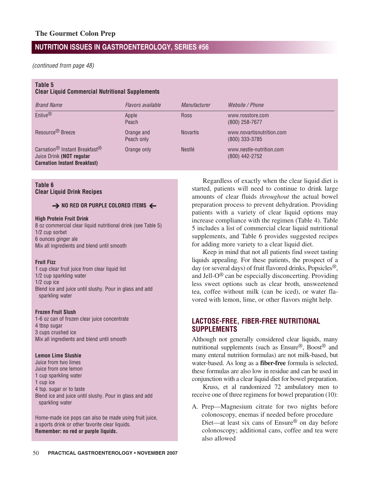(continued from page 48)

#### **Table 5**

**Clear Liquid Commercial Nutritional Supplements**

| <b>Brand Name</b>                                                                                                        | Flavors available        | <b>Manufacturer</b> | Website / Phone                               |
|--------------------------------------------------------------------------------------------------------------------------|--------------------------|---------------------|-----------------------------------------------|
| Enlive <sup>®</sup>                                                                                                      | Apple<br>Peach           | <b>Ross</b>         | www.rosstore.com<br>$(800)$ 258-7677          |
| Resource <sup>®</sup> Breeze                                                                                             | Orange and<br>Peach only | <b>Novartis</b>     | www.novartisnutrition.com<br>$(800)$ 333-3785 |
| Carnation <sup>®</sup> Instant Breakfast <sup>®</sup><br>Juice Drink (NOT regular<br><b>Carnation Instant Breakfast)</b> | Orange only              | Nestlé              | www.nestle-nutrition.com<br>(800) 442-2752    |

#### **Table 6 Clear Liquid Drink Recipes**

## → NO RED OR PURPLE COLORED ITEMS →

#### **High Protein Fruit Drink**

8 oz commercial clear liquid nutritional drink (see Table 5) 1/2 cup sorbet 6 ounces ginger ale Mix all ingredients and blend until smooth

#### **Fruit Fizz**

1 cup clear fruit juice from clear liquid list 1/2 cup sparkling water 1/2 cup ice Blend ice and juice until slushy. Pour in glass and add sparkling water

#### **Frozen Fruit Slush**

1-6 oz can of frozen clear juice concentrate 4 tbsp sugar 3 cups crushed ice Mix all ingredients and blend until smooth

#### **Lemon Lime Slushie**

Juice from two limes Juice from one lemon 1 cup sparkling water 1 cup ice 4 tsp. sugar or to taste Blend ice and juice until slushy. Pour in glass and add sparkling water

Home-made ice pops can also be made using fruit juice, a sports drink or other favorite clear liquids. **Remember: no red or purple liquids.**

Regardless of exactly when the clear liquid diet is started, patients will need to continue to drink large amounts of clear fluids *throughout* the actual bowel preparation process to prevent dehydration. Providing patients with a variety of clear liquid options may increase compliance with the regimen (Table 4). Table 5 includes a list of commercial clear liquid nutritional supplements, and Table 6 provides suggested recipes for adding more variety to a clear liquid diet.

Keep in mind that not all patients find sweet tasting liquids appealing. For these patients, the prospect of a day (or several days) of fruit flavored drinks, Popsicles®, and Jell-O® can be especially disconcerting. Providing less sweet options such as clear broth, unsweetened tea, coffee without milk (can be iced), or water flavored with lemon, lime, or other flavors might help.

### **LACTOSE-FREE, FIBER-FREE NUTRITIONAL SUPPLEMENTS**

Although not generally considered clear liquids, many nutritional supplements (such as Ensure®, Boost® and many enteral nutrition formulas) are not milk-based, but water-based. As long as a **fiber-free** formula is selected, these formulas are also low in residue and can be used in conjunction with a clear liquid diet for bowel preparation.

Kruss, et al randomized 72 ambulatory men to receive one of three regimens for bowel preparation (10):

A. Prep—Magnesium citrate for two nights before colonoscopy, enemas if needed before procedure Diet—at least six cans of Ensure® on day before colonoscopy; additional cans, coffee and tea were also allowed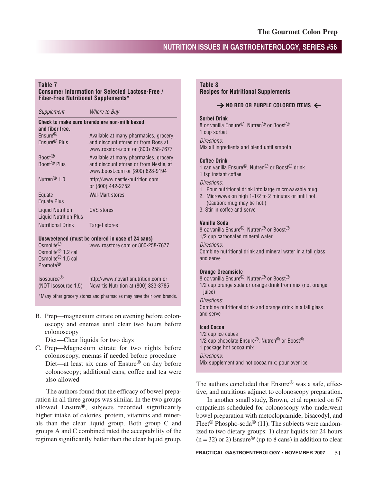#### **Table 7**

#### **Consumer Information for Selected Lactose-Free / Fiber-Free Nutritional Supplements\***

| Supplement                                                                                                      | Where to Buy                                                                                                        |  |  |  |  |
|-----------------------------------------------------------------------------------------------------------------|---------------------------------------------------------------------------------------------------------------------|--|--|--|--|
| Check to make sure brands are non-milk based<br>and fiber free.                                                 |                                                                                                                     |  |  |  |  |
| Ensure <sup>®</sup><br>Ensure <sup>®</sup> Plus                                                                 | Available at many pharmacies, grocery,<br>and discount stores or from Ross at<br>www.rosstore.com or (800) 258-7677 |  |  |  |  |
| Boost <sup>®</sup><br>Boost <sup>®</sup> Plus                                                                   | Available at many pharmacies, grocery,<br>and discount stores or from Nestlé, at<br>www.boost.com or (800) 828-9194 |  |  |  |  |
| Nutren <sup>®</sup> 1.0                                                                                         | http://www.nestle-nutrition.com<br>or (800) 442-2752                                                                |  |  |  |  |
| Equate<br>Equate Plus                                                                                           | Wal-Mart stores                                                                                                     |  |  |  |  |
| <b>Liquid Nutrition</b><br><b>Liquid Nutrition Plus</b>                                                         | <b>CVS</b> stores                                                                                                   |  |  |  |  |
| <b>Nutritional Drink</b>                                                                                        | Target stores                                                                                                       |  |  |  |  |
| Unsweetened (must be ordered in case of 24 cans)                                                                |                                                                                                                     |  |  |  |  |
| Osmolite <sup>®</sup><br>Osmolite <sup>®</sup> 1.2 cal<br>Osmolite <sup>®</sup> 1.5 cal<br>Promote <sup>®</sup> | www.rosstore.com or 800-258-7677                                                                                    |  |  |  |  |

Isosource® http://www.novartisnutrition.com or (NOT Isosource 1.5) Novartis Nutrition at (800) 333-3785

\*Many other grocery stores and pharmacies may have their own brands.

B. Prep—magnesium citrate on evening before colonoscopy and enemas until clear two hours before colonoscopy

Diet—Clear liquids for two days

C. Prep—Magnesium citrate for two nights before colonoscopy, enemas if needed before procedure Diet—at least six cans of Ensure® on day before colonoscopy; additional cans, coffee and tea were also allowed

The authors found that the efficacy of bowel preparation in all three groups was similar. In the two groups allowed Ensure®, subjects recorded significantly higher intake of calories, protein, vitamins and minerals than the clear liquid group. Both group C and groups A and C combined rated the acceptability of the regimen significantly better than the clear liquid group.

#### **Table 8 Recipes for Nutritional Supplements**

## → NO RED OR PURPLE COLORED ITEMS ←

#### **Sorbet Drink**

8 oz vanilla Ensure®, Nutren® or Boost® 1 cup sorbet Directions:

Mix all ingredients and blend until smooth

#### **Coffee Drink**

1 can vanilla Ensure®, Nutren® or Boost® drink 1 tsp instant coffee

Directions:

- 1. Pour nutritional drink into large microwavable mug.
- 2. Microwave on high 1-1/2 to 2 minutes or until hot. (Caution: mug may be hot.)
- 3. Stir in coffee and serve

#### **Vanilla Soda**

8 oz vanilla Ensure®, Nutren® or Boost® 1/2 cup carbonated mineral water

Directions:

Combine nutritional drink and mineral water in a tall glass and serve

#### **Orange Dreamsicle**

8 oz vanilla Ensure®, Nutren® or Boost® 1/2 cup orange soda or orange drink from mix (not orange juice)

Directions:

Combine nutritional drink and orange drink in a tall glass and serve

#### **Iced Cocoa**

1/2 cup ice cubes 1/2 cup chocolate Ensure<sup>®</sup>, Nutren<sup>®</sup> or Boost<sup>®</sup> 1 package hot cocoa mix Directions: Mix supplement and hot cocoa mix; pour over ice

The authors concluded that Ensure<sup>®</sup> was a safe, effective, and nutritious adjunct to colonoscopy preparation.

In another small study, Brown, et al reported on 67 outpatients scheduled for colonoscopy who underwent bowel preparation with metoclopramide, bisacodyl, and Fleet<sup>®</sup> Phospho-soda<sup>®</sup> (11). The subjects were randomized to two dietary groups: 1) clear liquids for 24 hours  $(n = 32)$  or 2) Ensure<sup>®</sup> (up to 8 cans) in addition to clear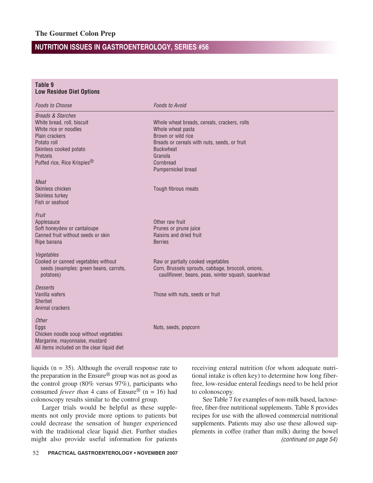| Table 9<br><b>Low Residue Diet Options</b>                                                                                                                                                            |                                                                                                                                                                                                           |
|-------------------------------------------------------------------------------------------------------------------------------------------------------------------------------------------------------|-----------------------------------------------------------------------------------------------------------------------------------------------------------------------------------------------------------|
| <b>Foods to Choose</b>                                                                                                                                                                                | <b>Foods to Avoid</b>                                                                                                                                                                                     |
| <b>Breads &amp; Starches</b><br>White bread, roll, biscuit<br>White rice or noodles<br>Plain crackers<br>Potato roll<br>Skinless cooked potato<br>Pretzels<br>Puffed rice, Rice Krispies <sup>®</sup> | Whole wheat breads, cereals, crackers, rolls<br>Whole wheat pasta<br>Brown or wild rice<br>Breads or cereals with nuts, seeds, or fruit<br><b>Buckwheat</b><br>Granola<br>Cornbread<br>Pumpernickel bread |
| Meat<br>Skinless chicken<br>Skinless turkey<br>Fish or seafood                                                                                                                                        | Tough fibrous meats                                                                                                                                                                                       |
| Fruit<br>Applesauce<br>Soft honeydew or cantaloupe<br>Canned fruit without seeds or skin<br>Ripe banana                                                                                               | Other raw fruit<br>Prunes or prune juice<br>Raisins and dried fruit<br><b>Berries</b>                                                                                                                     |
| Vegetables<br>Cooked or canned vegetables without<br>seeds (examples: green beans, carrots,<br>potatoes)                                                                                              | Raw or partially cooked vegetables<br>Corn, Brussels sprouts, cabbage, broccoli, onions,<br>cauliflower, beans, peas, winter squash, sauerkraut                                                           |
| Desserts<br>Vanilla wafers<br>Sherbet<br>Animal crackers                                                                                                                                              | Those with nuts, seeds or fruit                                                                                                                                                                           |
| <b>Other</b><br>Eggs<br>Chicken noodle soup without vegetables<br>Margarine, mayonnaise, mustard<br>All items included on the clear liquid diet                                                       | Nuts, seeds, popcorn                                                                                                                                                                                      |

liquids ( $n = 35$ ). Although the overall response rate to the preparation in the Ensure® group was not as good as the control group (80% versus 97%), participants who consumed *fewer than* 4 cans of Ensure<sup>®</sup> (n = 16) had colonoscopy results similar to the control group.

Larger trials would be helpful as these supplements not only provide more options to patients but could decrease the sensation of hunger experienced with the traditional clear liquid diet. Further studies might also provide useful information for patients

receiving enteral nutrition (for whom adequate nutritional intake is often key) to determine how long fiberfree, low-residue enteral feedings need to be held prior to colonoscopy.

See Table 7 for examples of non-milk based, lactosefree, fiber-free nutritional supplements. Table 8 provides recipes for use with the allowed commercial nutritional supplements. Patients may also use these allowed supplements in coffee (rather than milk) during the bowel (continued on page 54)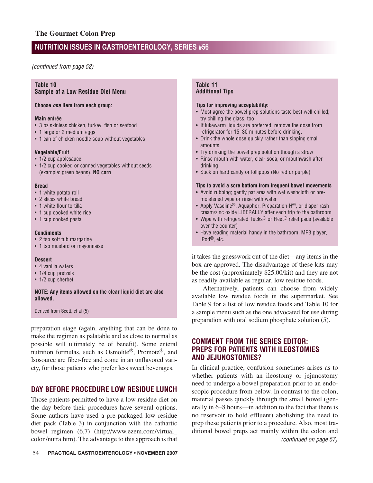(continued from page 52)

#### **Table 10 Sample of a Low Residue Diet Menu**

#### **Choose one item from each group:**

#### **Main entrée**

- 3 oz skinless chicken, turkey, fish or seafood
- 1 large or 2 medium eggs
- 1 can of chicken noodle soup without vegetables

#### **Vegetable/Fruit**

- 1/2 cup applesauce
- 1/2 cup cooked or canned vegetables without seeds (example: green beans). **NO corn**

#### **Bread**

- 1 white potato roll
- 2 slices white bread
- 1 white flour tortilla
- 1 cup cooked white rice
- 1 cup cooked pasta

#### **Condiments**

- 2 tsp soft tub margarine
- 1 tsp mustard or mayonnaise

#### **Dessert**

- 4 vanilla wafers
- 1/4 cup pretzels
- 1/2 cup sherbet

#### **NOTE: Any items allowed on the clear liquid diet are also allowed.**

Derived from Scott, et al (5)

preparation stage (again, anything that can be done to make the regimen as palatable and as close to normal as possible will ultimately be of benefit). Some enteral nutrition formulas, such as Osmolite®, Promote®, and Isosource are fiber-free and come in an unflavored variety, for those patients who prefer less sweet beverages.

## **DAY BEFORE PROCEDURE LOW RESIDUE LUNCH**

Those patients permitted to have a low residue diet on the day before their procedures have several options. Some authors have used a pre-packaged low residue diet pack (Table 3) in conjunction with the cathartic bowel regimen (6,7) (http://www.ezem.com/virtual\_ colon/nutra.htm). The advantage to this approach is that

#### **Table 11 Additional Tips**

#### **Tips for improving acceptability:**

- Most agree the bowel prep solutions taste best well-chilled; try chilling the glass, too
- If lukewarm liquids are preferred, remove the dose from refrigerator for 15–30 minutes before drinking.
- Drink the whole dose quickly rather than sipping small amounts
- Try drinking the bowel prep solution though a straw
- Rinse mouth with water, clear soda, or mouthwash after drinking
- Suck on hard candy or lollipops (No red or purple)

#### **Tips to avoid a sore bottom from frequent bowel movements**

- Avoid rubbing; gently pat area with wet washcloth or premoistened wipe or rinse with water
- Apply Vaseline®, Aquaphor, Preparation-H®, or diaper rash cream/zinc oxide LIBERALLY after each trip to the bathroom
- Wipe with refrigerated Tucks<sup>®</sup> or Fleet<sup>®</sup> relief pads (available over the counter)
- Have reading material handy in the bathroom, MP3 player, iPod®, etc.

it takes the guesswork out of the diet—any items in the box are approved. The disadvantage of these kits may be the cost (approximately \$25.00/kit) and they are not as readily available as regular, low residue foods.

Alternatively, patients can choose from widely available low residue foods in the supermarket. See Table 9 for a list of low residue foods and Table 10 for a sample menu such as the one advocated for use during preparation with oral sodium phosphate solution (5).

## **COMMENT FROM THE SERIES EDITOR: PREPS FOR PATIENTS WITH ILEOSTOMIES AND JEJUNOSTOMIES?**

In clinical practice, confusion sometimes arises as to whether patients with an ileostomy or jejunostomy need to undergo a bowel preparation prior to an endoscopic procedure from below. In contrast to the colon, material passes quickly through the small bowel (generally in 6–8 hours—in addition to the fact that there is no reservoir to hold effluent) abolishing the need to prep these patients prior to a procedure. Also, most traditional bowel preps act mainly within the colon and (continued on page 57)